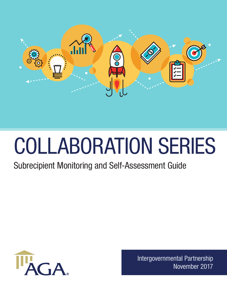

# COLLABORATION SERIES

## Subrecipient Monitoring and Self-Assessment Guide



Intergovernmental Partnership November 2017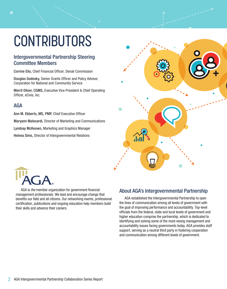# **CONTRIBUTORS**

#### Intergovernmental Partnership Steering Committee Members

Corrine Eilo, Chief Financial Officer, Denali Commission

Douglas Godesky, Senior Grants Officer and Policy Advisor, Corporation for National and Community Service

Merril Oliver, CGMS, Executive Vice President & Chief Operating Officer, eCivis, Inc.

#### AGA

Ann M. Ebberts, MS, PMP, Chief Executive Officer

Maryann Malesardi, Director of Marketing and Communications

Lyndsay McKeown, Marketing and Graphics Manager

Helena Sims, Director of Intergovernmental Relations





AGA is the member organization for government financial management professionals. We lead and encourage change that benefits our field and all citizens. Our networking events, professional certification, publications and ongoing education help members build their skills and advance their careers.

### About AGA's Intergovernmental Partnership

AGA established the Intergovernmental Partnership to open the lines of communication among all levels of government with the goal of improving performance and accountability. Top-level officials from the federal, state and local levels of government and higher education comprise the partnership, which is dedicated to identifying and solving some of the most vexing management and accountability issues facing governments today. AGA provides staff support, serving as a neutral third party in fostering cooperation and communication among different levels of government.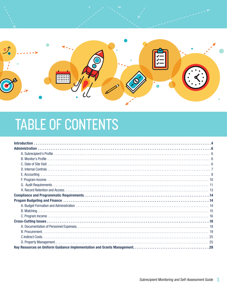

# TABLE OF CONTENTS

| <b>Introduction</b> |  |
|---------------------|--|
|                     |  |
|                     |  |
|                     |  |
|                     |  |
|                     |  |
|                     |  |
|                     |  |
|                     |  |
|                     |  |
|                     |  |
|                     |  |
|                     |  |
|                     |  |
|                     |  |
|                     |  |
|                     |  |
|                     |  |
|                     |  |
|                     |  |
|                     |  |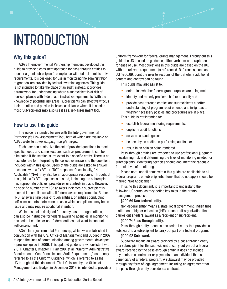#### Why this guide?

AGA's Intergovernmental Partnership members developed this guide to provide a consistent approach for pass-through entities to monitor a grant subrecipient's compliance with federal administrative requirements. It is designed for use in monitoring the administration of grant dollars provided by federal awarding agencies. This guide is not intended to take the place of an audit; instead, it provides a framework for understanding where a subrecipient is at risk of non-compliance with federal administrative requirements. With the knowledge of potential risk areas, subrecipients can effectively focus their attention and provide technical assistance where it is needed most. Subrecipients may also use it as a self-assessment tool.

#### How to use this guide

The guide is intended for use with the Intergovernmental Partnership's Risk Assessment Tool, both of which are available on AGA's website at www.agacgfm.org/intergov.

Each user can customize the set of provided questions to meet specific needs and some sections, such as procurement, can be eliminated if the section is irrelevant to a specific entity. There is no absolute rule for interpreting the collective answers to the questions included within this guide. Users of the guide are asked to answer questions with a "YES" or "NO" response. Occasionally, "Not Applicable" (N/A) may also be an appropriate response. Throughout this guide, a "YES" response is desired, indicating the subrecipient has appropriate policies, procedures or controls in place. However, no specific number of "YES" answers indicates a subrecipient is deemed in compliance with all federal award requirements. Rather, "NO" answers help pass-through entities, or entities conducting self-assessments, determine areas in which compliance may be an issue and may require additional attention.

While this tool is designed for use by pass-through entities, it can also be instructive for federal awarding agencies in monitoring non-federal entities or non-federal entities that want to conduct a self-assessment.

AGA's Intergovernmental Partnership, which was established in conjunction with the U.S. Office of Management and Budget in 2007 to open the lines of communication among governments, developed a previous guide in 2009. This updated guide is now consistent with 2 CFR Chapter I, Chapter II, Part 200, et al. "Uniform Administrative Requirements, Cost Principles and Audit Requirements," commonly referred to as the Uniform Guidance, which is referred to as the UG throughout this document. The UG, issued by the Office of Management and Budget in December 2013, is intended to provide a uniform framework for federal grants management. Throughout this guide the UG is used as guidance, either verbatim or paraphrased for ease of use. Most questions in this guide are based on the UG, with the relevant requirement(s) referenced. References, such as UG §200.69, point the user to sections of the UG where additional content and context can be found.

This guide may also assist to:

- determine whether federal grant purposes are being met;
- identify and remedy problems before an audit; and
- provide pass-through entities and subrecipients a better understanding of program requirements, and insight as to whether necessary policies and procedures are in place.

This guide is *not* intended to:

- establish federal monitoring requirements;
- duplicate audit functions;
- serve as an audit quide;
- be used by an auditor in performing audits; nor
- result in an opinion being rendered.

Pass-through entities are expected to use professional judgment in evaluating risk and determining the level of monitoring needed for subrecipients. Monitoring agencies should document the rationale for their level of monitoring.

Please note, not all items within this guide are applicable to all federal programs or subrecipients. Items that do not apply should be marked "Not Applicable."

In using this document, it is important to understand the following UG terms, as they define key roles in the grants management process:

#### §200.69 Non-federal entity.

Non-federal entity means a state, local government, Indian tribe, institution of higher education (IHE) or nonprofit organization that carries out a federal award as a recipient or subrecipient.

#### §200.74 Pass-through entity.

Pass-through entity means a non-federal entity that provides a subaward to a subrecipient to carry out part of a federal program.

#### §200.92 Subaward.

Subaward means an award provided by a pass-through entity to a subrecipient for the subrecipient to carry out part of a federal award received by the pass-through entity. It does not include payments to a contractor or payments to an individual that is a beneficiary of a federal program. A subaward may be provided through any form of legal agreement, including an agreement that the pass-through entity considers a contract.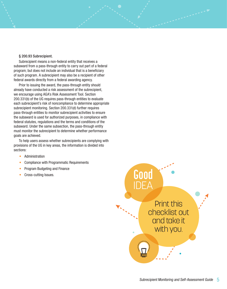#### § 200.93 Subrecipient.

Subrecipient means a non-federal entity that receives a subaward from a pass-through entity to carry out part of a federal program; but does not include an individual that is a beneficiary of such program. A subrecipient may also be a recipient of other federal awards directly from a federal awarding agency.

Prior to issuing the award, the pass-through entity should already have conducted a risk assessment of the subrecipient, we encourage using AGA's Risk Assessment Tool. Section 200.331(b) of the UG requires pass-through entities to evaluate each subrecipient's risk of noncompliance to determine appropriate subrecipient monitoring. Section 200.331(d) further requires pass-through entities to monitor subrecipient activities to ensure the subaward is used for authorized purposes, in compliance with federal statutes, regulations and the terms and conditions of the subaward. Under the same subsection, the pass-through entity must monitor the subrecipient to determine whether performance goals are achieved.

To help users assess whether subrecipients are complying with provisions of the UG in key areas, the information is divided into sections:

- Administration
- Compliance with Programmatic Requirements
- Program Budgeting and Finance
- 

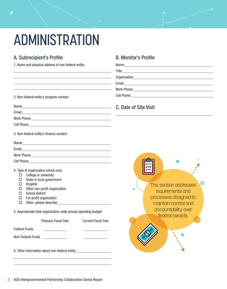# ADMINISTRATION

<u> 1989 - Johann Barbara, martxa amerikan per</u> <u> 1989 - Johann Barbara, martxa amerikan personal (h. 1989).</u>

### A. Subrecipient's Profile

1. Name and physical address of non-federal entity:

| 2. Non-federal entity's program contact: |  |  |
|------------------------------------------|--|--|
|                                          |  |  |

| ×<br>.<br>×<br>۰, |  |
|-------------------|--|
|-------------------|--|

 $\overline{a}$ 

Email:

Work Phone: Manual Manual Manual Manual Manual Manual Manual Manual Manual Manual Manual Manual Manual Manual

Cell Phone:

3. Non-federal entity's finance contact:

Name: with the contract of the contract of the contract of the contract of the contract of the contract of the contract of the contract of the contract of the contract of the contract of the contract of the contract of the

Email:

l,  $\overline{a}$ 

Work Phone: Manual Manual Manual Manual Manual Manual Manual Manual Manual Manual Manual Manual Manual Manual

Cell Phone: <u>Call Andrew Communication</u>

4. Type of organization (check one):

- $\Box$  College or university
- $\square$  State or local government
- $\Box$  Hospital
- $\Box$  Other non-profit organization
- $\square$  School district
- $\Box$  For-profit organization
- $\Box$  Other; please describe: \_\_\_\_\_\_

5. Approximate total organization-wide annual operating budget:

|                      | <b>Previous Fiscal Year</b>                    | <b>Current Fiscal Year</b> |
|----------------------|------------------------------------------------|----------------------------|
| <b>Federal Funds</b> |                                                |                            |
| Non-Federal Funds    |                                                |                            |
|                      | 6. Other information about non-federal entity: |                            |

#### B. Monitor's Profile

 $\overline{a}$  $\overline{a}$  $\overline{a}$ 

| Work Phone: Management Control of the United States and Control of the United States and Control of the United States and Control of the United States and Control of the United States and Control of the United States and C |  |
|--------------------------------------------------------------------------------------------------------------------------------------------------------------------------------------------------------------------------------|--|
|                                                                                                                                                                                                                                |  |

### C. Date of Site Visit

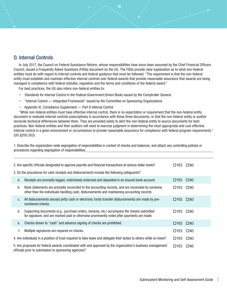#### D. Internal Controls

 $\overline{a}$ 

In July 2017, the Council on Federal Assistance Reform, whose responsibilities have since been assumed by the Chief Financial Officers Council, issued a Frequently Asked Questions (FAQs) document on the UG. The FAQs provide clear explanation as to what non-federal entities must do with regard to internal controls and federal guidance that must be followed: "The requirement is that the non-federal entity must establish and maintain effective internal controls over federal awards that provide reasonable assurance that awards are being managed in compliance with federal statutes, regulation and the terms and conditions of the federal award."

For best practices, the UG also refers non-federal entities to:

- Standards for Internal Control in the Federal Government (Green Book) issued by the Comptroller General
- "Internal Control Integrated Framework" issued by the Committee on Sponsoring Organizations
- Appendix XI, Compliance Supplement Part 6 Internal Control

"While non-federal entities must have effective internal control, there is no expectation or requirement that the non-federal entity document or evaluate internal controls prescriptively in accordance with these three documents, or that the non-federal entity or auditor reconcile technical differences between them. They are provided solely to alert the non-federal entity to source documents for best practices. Non-federal entities and their auditors will need to exercise judgment in determining the most appropriate and cost effective internal control in a given environment or circumstance to provide reasonable assurance for compliance with federal program requirements." (UG §200.303)

1. Describe the organization-wide segregation of responsibilities in context of checks and balances, and attach any controlling policies or procedures regarding segregation of responsibilities.

| 2. Are specific officials designated to approve payrolls and financial transactions at various dollar levels?<br>□YES<br>$\square$ NO                                                        |                                                                                                                                                                                                |               |              |  |
|----------------------------------------------------------------------------------------------------------------------------------------------------------------------------------------------|------------------------------------------------------------------------------------------------------------------------------------------------------------------------------------------------|---------------|--------------|--|
|                                                                                                                                                                                              | 3. Do the procedures for cash receipts and disbursements include the following safeguards?                                                                                                     |               |              |  |
| a.                                                                                                                                                                                           | Receipts are promptly logged, restrictively endorsed and deposited in an insured bank account.                                                                                                 | $\Box$ YES    | $\square$ NO |  |
| b.                                                                                                                                                                                           | Bank statements are promptly reconciled to the accounting records, and are reconciled by someone<br>other than the individuals handling cash, disbursements and maintaining accounting records | □YES          | $\square$ NO |  |
| C.                                                                                                                                                                                           | All disbursements (except petty cash or electronic funds transfer disbursements) are made by pre-<br>numbered checks.                                                                          | $\Box$ YES    | $\square$ NO |  |
| d.                                                                                                                                                                                           | Supporting documents (e.g., purchase orders, invoices, etc.) accompany the checks submitted<br>for signature, and are marked paid or otherwise prominently noted after payments are made.      | $\Box$ YES    | $\square$ NO |  |
| е.                                                                                                                                                                                           | Checks drawn to "cash" and advance signing of checks are prohibited.                                                                                                                           | $\Box$ YES    | $\square$ NO |  |
| f.                                                                                                                                                                                           | Multiple signatures are required on checks.                                                                                                                                                    | □YES          | $\square$ NO |  |
|                                                                                                                                                                                              | 4. Are individuals in a position of trust required to take leave and delegate their duties to others while on leave?                                                                           | $\square$ YES | $\square$ NO |  |
| 5. Are proposals for federal awards coordinated with and approved by the organization's business management<br>□YES<br>$\square$ NO<br>officials prior to submission to sponsoring agencies? |                                                                                                                                                                                                |               |              |  |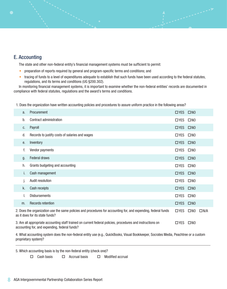#### E. Accounting

The state and other non-federal entity's financial management systems must be sufficient to permit:

- preparation of reports required by general and program-specific terms and conditions; and
- tracing of funds to a level of expenditures adequate to establish that such funds have been used according to the federal statutes, regulations, and its terms and conditions (UG §200.302).

In monitoring financial management systems, it is important to examine whether the non-federal entities' records are documented in compliance with federal statutes, regulations and the award's terms and conditions.

1. Does the organization have written accounting policies and procedures to assure uniform practice in the following areas?

| a.                                                                                                                                                                                         | Procurement                                                                                                                                       | $\Box$ YES $\Box$ NO |              |               |
|--------------------------------------------------------------------------------------------------------------------------------------------------------------------------------------------|---------------------------------------------------------------------------------------------------------------------------------------------------|----------------------|--------------|---------------|
| b.                                                                                                                                                                                         | Contract administration                                                                                                                           | $\Box$ YES           | $\square$ NO |               |
| C.                                                                                                                                                                                         | Payroll                                                                                                                                           | □YES □NO             |              |               |
| d.                                                                                                                                                                                         | Records to justify costs of salaries and wages                                                                                                    | $\Box$ YES           | $\square$ NO |               |
| е.                                                                                                                                                                                         | Inventory                                                                                                                                         | □YES □NO             |              |               |
| f.                                                                                                                                                                                         | Vendor payments                                                                                                                                   | $\Box$ YES           | $\square$ NO |               |
| g.                                                                                                                                                                                         | <b>Federal draws</b>                                                                                                                              | □YES □NO             |              |               |
| h.                                                                                                                                                                                         | Grants budgeting and accounting                                                                                                                   | $\Box$ YES           | $\square$ NO |               |
| İ.                                                                                                                                                                                         | Cash management                                                                                                                                   | □YES □NO             |              |               |
| J.                                                                                                                                                                                         | Audit resolution                                                                                                                                  | $\Box$ YES           | $\square$ NO |               |
| k.                                                                                                                                                                                         | Cash receipts                                                                                                                                     | $\Box$ YES           | $\square$ NO |               |
| I.                                                                                                                                                                                         | <b>Disbursements</b>                                                                                                                              | $\Box$ YES           | $\square$ NO |               |
| m.                                                                                                                                                                                         | Records retention                                                                                                                                 | □YES □NO             |              |               |
|                                                                                                                                                                                            | 2. Does the organization use the same policies and procedures for accounting for, and expending, federal funds<br>as it does for its state funds? | $\Box$ YES           | $\square$ NO | $\square$ N/A |
| 3. Are all appropriate accounting staff trained on current federal policies, procedures and instructions on<br>$\Box$ YES<br>$\square$ NO<br>accounting for, and expending, federal funds? |                                                                                                                                                   |                      |              |               |

4. What accounting system does the non-federal entity use (e.g., QuickBooks, Visual Bookkeeper, Socrates Media, Peachtree or a custom proprietary system)?

5. Which accounting basis is by the non-federal entity (check one)?

 $\Box$  Cash basis  $\Box$  Accrual basis  $\Box$  Modified accrual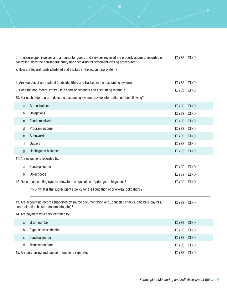| 6. To ensure open invoices and amounts for goods and services received are properly accrued, recorded or<br>$\Box$ YES $\Box$ NO<br>controlled, does the non-federal entity use checklists for statement-closing procedures? |                                                                                                                                                       |                      |              |  |  |
|------------------------------------------------------------------------------------------------------------------------------------------------------------------------------------------------------------------------------|-------------------------------------------------------------------------------------------------------------------------------------------------------|----------------------|--------------|--|--|
|                                                                                                                                                                                                                              | 7. How are federal funds identified and tracked in the accounting system?                                                                             |                      |              |  |  |
|                                                                                                                                                                                                                              | 8. Are sources of non-federal funds identified and tracked in the accounting system?                                                                  | $\Box$ YES           | $\square$ NO |  |  |
|                                                                                                                                                                                                                              | 9. Does the non-federal entity use a chart of accounts and accounting manual?                                                                         | $\Box$ YES $\Box$ NO |              |  |  |
|                                                                                                                                                                                                                              | 10. For each federal grant, does the accounting system provide information on the following?                                                          |                      |              |  |  |
| a.                                                                                                                                                                                                                           | Authorizations                                                                                                                                        | $\Box$ YES           | $\square$ NO |  |  |
| b.                                                                                                                                                                                                                           | Obligations                                                                                                                                           | $\Box$ YES           | $\square$ NO |  |  |
| c.                                                                                                                                                                                                                           | Funds received                                                                                                                                        | $\Box$ YES           | $\square$ NO |  |  |
| d.                                                                                                                                                                                                                           | Program income                                                                                                                                        | $\Box$ YES           | $\square$ NO |  |  |
| e.                                                                                                                                                                                                                           | <b>Subawards</b>                                                                                                                                      | $\Box$ YES           | $\square$ NO |  |  |
| f.                                                                                                                                                                                                                           | Outlays                                                                                                                                               | $\Box$ YES           | $\square$ NO |  |  |
| g.                                                                                                                                                                                                                           | <b>Unobligated balances</b><br>$\Box$ YES<br>$\square$ NO                                                                                             |                      |              |  |  |
|                                                                                                                                                                                                                              | 11. Are obligations recorded by:                                                                                                                      |                      |              |  |  |
| a.                                                                                                                                                                                                                           | <b>Funding source</b>                                                                                                                                 | $\Box$ YES           | $\square$ NO |  |  |
| b.                                                                                                                                                                                                                           | Object code                                                                                                                                           | $\Box$ YES           | $\square$ NO |  |  |
|                                                                                                                                                                                                                              | 12. Does to accounting system allow for the liquidation of prior-year obligations?                                                                    | $\Box$ YES           | $\square$ NO |  |  |
|                                                                                                                                                                                                                              | If NO, what is the subrecipient's policy for the liquidation of prior-year obligations?                                                               |                      |              |  |  |
|                                                                                                                                                                                                                              | 13. Are accounting records supported by source documentation (e.g., canceled checks, paid bills, payrolls,<br>contract and subaward documents, etc.)? | $\square$ YES        | $\square$ NO |  |  |
|                                                                                                                                                                                                                              | 14. Are payment vouchers identified by:                                                                                                               |                      |              |  |  |
| a.                                                                                                                                                                                                                           | <b>Grant number</b>                                                                                                                                   | $\Box$ YES           | $\square$ NO |  |  |
| b.                                                                                                                                                                                                                           | <b>Expense classification</b>                                                                                                                         | $\Box$ YES           | $\square$ NO |  |  |
| c.                                                                                                                                                                                                                           | <b>Funding source</b>                                                                                                                                 | $\square$ YES        | $\square$ NO |  |  |
| d.                                                                                                                                                                                                                           | <b>Transaction date</b>                                                                                                                               | $\Box$ YES           | $\square$ NO |  |  |
|                                                                                                                                                                                                                              | 15. Are purchasing and payment functions separate?                                                                                                    | $\Box$ YES           | $\square$ NO |  |  |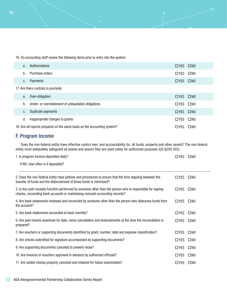16. Do accounting staff review the following items prior to entry into the system:

| a.                                                                                                                                                                                                                                                           | Authorizations                                                                                                                                                                  | $\Box$ YES $\Box$ NO |              |  |  |
|--------------------------------------------------------------------------------------------------------------------------------------------------------------------------------------------------------------------------------------------------------------|---------------------------------------------------------------------------------------------------------------------------------------------------------------------------------|----------------------|--------------|--|--|
| b.                                                                                                                                                                                                                                                           | Purchase orders                                                                                                                                                                 | $\Box$ YES           | $\square$ NO |  |  |
| C.                                                                                                                                                                                                                                                           | Payments                                                                                                                                                                        | $\Box$ YES $\Box$ NO |              |  |  |
|                                                                                                                                                                                                                                                              | 17. Are there controls to preclude:                                                                                                                                             |                      |              |  |  |
| a.                                                                                                                                                                                                                                                           | Over-obligation                                                                                                                                                                 | $\Box$ YES           | $\square$ NO |  |  |
| b.                                                                                                                                                                                                                                                           | Under- or overstatement of unliquidated obligations                                                                                                                             | $\Box$ YES           | $\square$ NO |  |  |
| C.                                                                                                                                                                                                                                                           | Duplicate payments                                                                                                                                                              | $\Box$ YES           | $\square$ NO |  |  |
| d.                                                                                                                                                                                                                                                           | Inappropriate charges to grants                                                                                                                                                 | $\Box$ YES           | $\square$ NO |  |  |
|                                                                                                                                                                                                                                                              | 18. Are all reports prepared on the same basis as the accounting system?                                                                                                        | $\Box$ YES           | $\square$ NO |  |  |
|                                                                                                                                                                                                                                                              | F. Program Income                                                                                                                                                               |                      |              |  |  |
| Does the non-federal entity have effective control over, and accountability for, all funds, property and other assets? The non-federal<br>entity must adequately safeguard all assets and assure they are used solely for authorized purposes (UG §200.302). |                                                                                                                                                                                 |                      |              |  |  |
|                                                                                                                                                                                                                                                              |                                                                                                                                                                                 |                      |              |  |  |
|                                                                                                                                                                                                                                                              | 1. Is program income deposited daily?                                                                                                                                           | $\Box$ YES           | $\square$ NO |  |  |
|                                                                                                                                                                                                                                                              | If NO, how often is it deposited?                                                                                                                                               |                      |              |  |  |
|                                                                                                                                                                                                                                                              | 2. Does the non-federal entity have policies and procedures to ensure that the time elapsing between the<br>transfer of funds and the disbursement of those funds is minimized? | $\Box$ YES           | $\square$ NO |  |  |

4. Are bank statements reviewed and reconciled by someone other than the person who disburses funds from the account? OYES ONO 5. Are bank statements reconciled at least monthly?  $\Box$  YES  $\Box$  NO 6. Are paid checks examined for date, name cancellation and endorsements at the time the reconciliation is prepared? OYES ONO 7. Are vouchers or supporting documents identified by grant, number, date and expense classification?  $\Box$  YES  $\Box$  NO 8. Are checks submitted for signature accompanied by supporting documents?  $\Box$  YES  $\Box$  NO 9. Are supporting documents canceled to prevent reuse? YES NO 10. Are invoices or vouchers approved in advance by authorized officials?  $\square$  YES  $\square$  NO 11. Are voided checks properly canceled and retained for future examination?  $\square$  YES  $\square$  NO

10 AGA Intergovernmental Partnership Collaboration Series Report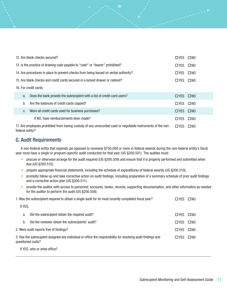| 12. Are blank checks secured?                                                                                                    |                      | $\square$ NO |
|----------------------------------------------------------------------------------------------------------------------------------|----------------------|--------------|
| 13. Is the practice of drawing cash payable to "cash" or "bearer" prohibited?                                                    | $\Box$ YES           | $\square$ NO |
| 14. Are procedures in place to prevent checks from being issued on verbal authority?                                             | □YES                 | $\square$ NO |
| 15. Are blank checks and credit cards secured in a locked drawer or cabinet?                                                     | □ YES                | $\square$ NO |
| 16. For credit cards:                                                                                                            |                      |              |
| Does the bank provide the subrecipient with a list of credit-card users?<br>a.                                                   | $\Box$ YES $\Box$ NO |              |
| Are the balances of credit cards capped?<br>b.                                                                                   | $\Box$ YES           | $\square$ NO |
| Were all credit cards used for business purchases?<br>C.                                                                         | $\Box$ YES           | $\square$ NO |
| If NO, have reimbursements been made?                                                                                            | $\Box$ YES           | $\square$ NO |
| 17. Are employees prohibited from having custody of any unrecorded cash or negotiable instruments of the non-<br>federal entity? | □ YES                | $\square$ NO |

#### G. Audit Requirements

A non-federal entity that expends (as opposed to receives) \$750,000 or more in federal awards during the non-federal entity's fiscal year must have a single or program-specific audit conducted for that year (UG §200.501). The auditee must:

- procure or otherwise arrange for the audit required (UG §200.509) and ensure that it is properly performed and submitted when due (UG §200.512);
- prepare appropriate financial statements, including the schedule of expenditures of federal awards (UG §200.510);
- promptly follow up and take corrective action on audit findings, including preparation of a summary schedule of prior audit findings and a corrective action plan (UG §200.511);
- provide the auditor with access to personnel, accounts, books, records, supporting documentation, and other information as needed for the auditor to perform the audit (UG §200.508).

| 1. Was the subrecipient required to obtain a single audit for its most recently completed fiscal year?<br>$\square$ YES |                                                                                                                                    |            | $\square$ NO |
|-------------------------------------------------------------------------------------------------------------------------|------------------------------------------------------------------------------------------------------------------------------------|------------|--------------|
| If YES,                                                                                                                 |                                                                                                                                    |            |              |
| a.                                                                                                                      | Did the subrecipient obtain the required audit?                                                                                    | $\Box$ YES | $\square$ NO |
| b.                                                                                                                      | Did the reviewer obtain the subrecipients' audit?                                                                                  | □YES       | $\square$ NO |
|                                                                                                                         | 2. Were audit reports free of findings?                                                                                            | □ YES      | $\square$ NO |
|                                                                                                                         | 3. Has the subrecipient assigned any individual or office the responsibility for resolving audit findings and<br>questioned costs? | □ YES      | $\square$ NO |

If YES, who or what office?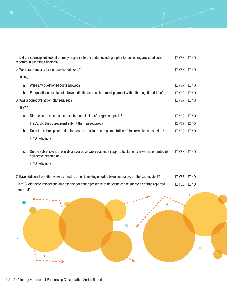|         | 4. Did the subrecipient submit a timely response to the audit, including a plan for correcting any conditions<br>reported in sustained findings? | $\Box$ YES    | $\square$ NO |  |  |  |
|---------|--------------------------------------------------------------------------------------------------------------------------------------------------|---------------|--------------|--|--|--|
|         | 5. Were audit reports free of questioned costs?                                                                                                  |               |              |  |  |  |
|         | If NO,                                                                                                                                           |               |              |  |  |  |
| a.      | Were any questioned costs allowed?                                                                                                               | $\square$ YES | $\square$ NO |  |  |  |
| b.      | For questioned costs not allowed, did the subrecipient remit payment within the negotiated time?                                                 | □ YES         | $\square$ NO |  |  |  |
|         | 6. Was a corrective action plan required?                                                                                                        | $\square$ YES | $\square$ NO |  |  |  |
| If YES, |                                                                                                                                                  |               |              |  |  |  |
| a.      | Did the subrecipient's plan call for submission of progress reports?                                                                             | $\square$ YES | $\square$ NO |  |  |  |
|         | If YES, did the subrecipient submit them as required?                                                                                            | $\square$ YES | $\square$ NO |  |  |  |
| b.      | Does the subrecipient maintain records detailing the implementation of its corrective action plan?                                               | $\Box$ YES    | $\square$ NO |  |  |  |
|         | If NO, why not?                                                                                                                                  |               |              |  |  |  |
| C.      | Do the subrecipient's records and/or observable evidence support its claims to have implemented its<br>corrective action plan?                   | $\Box$ YES    | $\square$ NO |  |  |  |
|         | If NO, why not?                                                                                                                                  |               |              |  |  |  |
|         | 7. Have additional on-site reviews or audits other than single audits been conducted on the subrecipient?                                        | $\Box$ YES    | $\square$ NO |  |  |  |
|         | If YES, did these inspections disclose the continued presence of deficiencies the subrecipient had reported                                      | $\Box$ YES    | $\square$ NO |  |  |  |

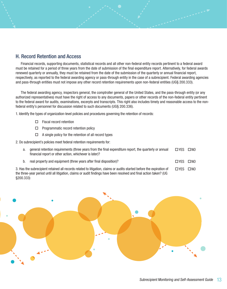#### H. Record Retention and Access

Financial records, supporting documents, statistical records and all other non-federal entity records pertinent to a federal award must be retained for a period of three years from the date of submission of the final expenditure report. Alternatively, for federal awards renewed quarterly or annually, they must be retained from the date of the submission of the quarterly or annual financial report, respectively, as reported to the federal awarding agency or pass-through entity in the case of a subrecipient. Federal awarding agencies and pass-through entities must not impose any other record retention requirements upon non-federal entities (UG§ 200.333).

The federal awarding agency, inspectors general, the comptroller general of the United States, and the pass-through entity (or any authorized representatives) must have the right of access to any documents, papers or other records of the non-federal entity pertinent to the federal award for audits, examinations, excerpts and transcripts. This right also includes timely and reasonable access to the nonfederal entity's personnel for discussion related to such documents (UG§ 200.336).

1. Identify the types of organization-level policies and procedures governing the retention of records:

- $\Box$  Fiscal record retention
- $\Box$  Programmatic record retention policy
- $\Box$  A single policy for the retention of all record types

2. Do subrecipient's policies meet federal retention requirements for:

| а. | general retention requirements (three years from the final expenditure report, the quarterly or annual<br>financial report or other action, whichever is later)?                                                                               | □ YES    | $\square$ NO |
|----|------------------------------------------------------------------------------------------------------------------------------------------------------------------------------------------------------------------------------------------------|----------|--------------|
| b. | real property and equipment (three years after final disposition)?                                                                                                                                                                             | □ YES    | $\square$ NO |
|    | 3. Has the subrecipient retained all records related to litigation, claims or audits started before the expiration of<br>all) Cneakt noiths land has hey head and ever forminit timure no emish in its initial alle litnu hoiren regu-egrified | □YES □NO |              |

the three-year period until all litigation, claims or audit findings have been resolved and final action taken? (UG §200.333)

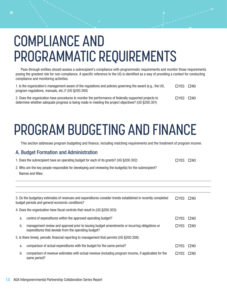# COMPLIANCE AND PROGRAMMATIC REQUIREMENTS

Pass-through entities should assess a subrecipient's compliance with programmatic requirements and monitor those requirements posing the greatest risk for non-compliance. A specific reference to the UG is identified as a way of providing a context for conducting compliance and monitoring activities.

| 1. Is the organization's management aware of the regulations and policies governing the award (e.g., the UG,<br>program regulations, manuals, etc.)? (UG §200.300)                                           | <b>TIYES</b> | $\square$ NO |
|--------------------------------------------------------------------------------------------------------------------------------------------------------------------------------------------------------------|--------------|--------------|
| 2. Does the organization have procedures to monitor the performance of federally supported projects to<br>determine whether adequate progress is being made in meeting the project objectives? (UG §200.301) | <b>TIYES</b> | $\square$ NO |

# PROGRAM BUDGETING AND FINANCE

This section addresses program budgeting and finance, including matching requirements and the treatment of program income.

#### A. Budget Formation and Administration

| 1. Does the subrecipient have an operating budget for each of its grants? (UG §200.302) | $\Box$ YES $\Box$ NO |  |
|-----------------------------------------------------------------------------------------|----------------------|--|
|                                                                                         |                      |  |

2. Who are the key people responsible for developing and reviewing the budget(s) for the subrecipient? Names and titles:

| 3. Do the budgetary estimates of revenues and expenditures consider trends established in recently completed<br>budget periods and general economic conditions? |                                                                                                                                                       |            | <b>NO</b>    |
|-----------------------------------------------------------------------------------------------------------------------------------------------------------------|-------------------------------------------------------------------------------------------------------------------------------------------------------|------------|--------------|
|                                                                                                                                                                 | 4. Does the organization have fiscal controls that result in (UG §200.303):                                                                           |            |              |
| a.                                                                                                                                                              | control of expenditures within the approved operating budget?                                                                                         | □YES       | $\Box$ NO    |
| b.                                                                                                                                                              | management review and approval prior to issuing budget amendments or incurring obligations or<br>expenditures that deviate from the operating budget? | □YES       | $\square$ NO |
| 5. Is there timely, periodic financial reporting to management that permits (UG §200.308):                                                                      |                                                                                                                                                       |            |              |
| a.                                                                                                                                                              | comparison of actual expenditures with the budget for the same period?                                                                                | □ YES      | $\square$ NO |
| b.                                                                                                                                                              | comparison of revenue estimates with actual revenue (including program income, if applicable) for the<br>same period?                                 | $\Box$ YES | $\square$ NO |

l l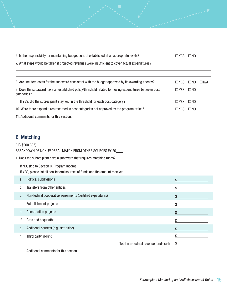| 6. Is the responsibility for maintaining budget control established at all appropriate levels?                       | $\Box$ YES    | $\square$ NO |            |
|----------------------------------------------------------------------------------------------------------------------|---------------|--------------|------------|
| 7. What steps would be taken if projected revenues were insufficient to cover actual expenditures?                   |               |              |            |
|                                                                                                                      |               |              |            |
| 8. Are line item costs for the subaward consistent with the budget approved by its awarding agency?                  | $\square$ YES | $\square$ NO | $\Box N/A$ |
| 9. Does the subaward have an established policy/threshold related to moving expenditures between cost<br>categories? | $\square$ YES | $\square$ NO |            |
| If YES, did the subrecipient stay within the threshold for each cost category?                                       | $\Box$ YES    | $\square$ NO |            |
| 10. Were there expenditures recorded in cost categories not approved by the program office?                          | $\square$ YFS | $\square$ NO |            |
| 11. Additional comments for this section:                                                                            |               |              |            |

### B. Matching

 $\overline{a}$ 

l,

(UG §200.306) BREAKDOWN OF NON-FEDERAL MATCH FROM OTHER SOURCES FY 20

1. Does the subrecipient have a subaward that requires matching funds?

If NO, skip to Section C. Program Income.

If YES, please list all non-federal sources of funds and the amount received:

| a. | <b>Political subdivisions</b>                              |                                       | \$ |
|----|------------------------------------------------------------|---------------------------------------|----|
| b. | Transfers from other entities                              |                                       | \$ |
| C. | Non-federal cooperative agreements (certified expeditures) |                                       | \$ |
| d. | Establishment projects                                     |                                       | \$ |
| е. | <b>Construction projects</b>                               |                                       | \$ |
| f. | Gifts and bequeaths                                        |                                       | \$ |
| g. | Additional sources (e.g., set-aside)                       |                                       | \$ |
| h. | Third party in-kind                                        |                                       | \$ |
|    |                                                            | Total non-federal revenue funds (a-h) | S  |
|    | Additional comments for this section:                      |                                       |    |

 $\overline{a}$ 

l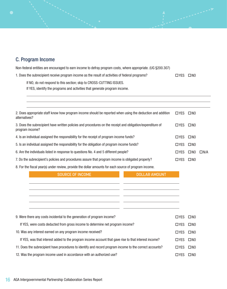### C. Program Income

 $\overline{a}$ 

| Non-federal entities are encouraged to earn income to defray program costs, where appropriate. (UG §200.307) |  |  |
|--------------------------------------------------------------------------------------------------------------|--|--|
|                                                                                                              |  |  |

| 1. Does the subrecipient receive program income as the result of activities of federal programs? | □YES □NO |  |
|--------------------------------------------------------------------------------------------------|----------|--|
|--------------------------------------------------------------------------------------------------|----------|--|

 $\overline{a}$ 

If NO, do not respond to this section; skip to CROSS-CUTTING ISSUES.

If YES, identify the programs and activities that generate program income.

| 2. Does appropriate staff know how program income should be reported when using the deduction and addition<br>alternatives?   | $\Box$ YES    | $\square$ NO |            |
|-------------------------------------------------------------------------------------------------------------------------------|---------------|--------------|------------|
| 3. Does the subrecipient have written policies and procedures on the receipt and obligation/expenditure of<br>program income? | $\Box$ YES    | $\square$ NO |            |
| 4. Is an individual assigned the responsibility for the receipt of program income funds?                                      | $\square$ YES | $\square$ NO |            |
| 5. Is an individual assigned the responsibility for the obligation of program income funds?                                   | $\Box$ YES    | $\square$ NO |            |
| 6. Are the individuals listed in response to questions No. 4 and 5 different people?                                          | $\Box$ YES    | $\square$ NO | $\Box N/A$ |
| 7. Do the subrecipient's policies and procedures assure that program income is obligated properly?                            | $\Box$ YES    | $\square$ NO |            |
| 8. For the fiscal year(s) under review, provide the dollar amounts for each source of program income.                         |               |              |            |
| <b>DOLLAR AMOUNT</b><br><b>SOURCE OF INCOME</b>                                                                               |               |              |            |
|                                                                                                                               |               |              |            |
|                                                                                                                               |               |              |            |
|                                                                                                                               |               |              |            |
|                                                                                                                               |               |              |            |
|                                                                                                                               |               |              |            |
| 9. Were there any costs incidental to the generation of program income?                                                       | $\Box$ YES    | $\square$ NO |            |
| If YES, were costs deducted from gross income to determine net program income?                                                | $\Box$ YES    | $\square$ NO |            |
| 10. Was any interest earned on any program income received?                                                                   |               |              |            |
| If YES, was that interest added to the program income account that gave rise to that interest income?                         |               |              |            |
| 11. Does the subrecipient have procedures to identify and record program income to the correct accounts?                      | $\Box$ YES    | $\square$ NO |            |
|                                                                                                                               |               |              |            |

12. Was the program income used in accordance with an authorized use?  $\square$  YES  $\square$  NO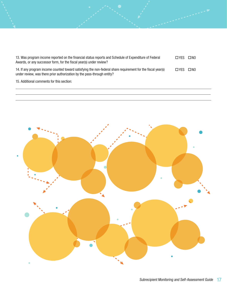| 13. Was program income reported on the financial status reports and Schedule of Expenditure of Federal<br>Awards, or any successor form, for the fiscal year(s) under review?           | <b>TIYES</b>         | $\square$ NO |
|-----------------------------------------------------------------------------------------------------------------------------------------------------------------------------------------|----------------------|--------------|
| 14. If any program income counted toward satisfying the non-federal share requirement for the fiscal year(s)<br>under review, was there prior authorization by the pass-through entity? | $\Box$ YES $\Box$ NO |              |
| 15. Additional comments for this section:                                                                                                                                               |                      |              |



 $\overline{a}$  $\overline{a}$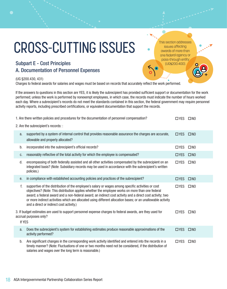# CROSS-CUTTING ISSUES  $\cdot$

### Subpart E - Cost Principles A. Documentation of Personnel Expenses

#### (UG §200.430, 431)

Charges to federal awards for salaries and wages must be based on records that accurately reflect the work performed.

If the answers to questions in this section are YES, it is likely the subrecipient has provided sufficient support or documentation for the work performed; unless the work is performed by nonexempt employees, in which case, the records must indicate the number of hours worked each day. Where a subrecipient's records do not meet the standards contained in this section, the federal government may require personnel activity reports, including prescribed certifications, or equivalent documentation that support the records.

|        | 1. Are there written policies and procedures for the documentation of personnel compensation?                                                                                                                                                                                                                                                                                                                                                                                   | □YES □NO   |              |
|--------|---------------------------------------------------------------------------------------------------------------------------------------------------------------------------------------------------------------------------------------------------------------------------------------------------------------------------------------------------------------------------------------------------------------------------------------------------------------------------------|------------|--------------|
|        | 2. Are the subrecipient's records: :                                                                                                                                                                                                                                                                                                                                                                                                                                            |            |              |
| a.     | supported by a system of internal control that provides reasonable assurance the charges are accurate,<br>allowable and properly allocated?                                                                                                                                                                                                                                                                                                                                     | $\Box$ YES | $\square$ NO |
| b.     | incorporated into the subrecipient's official records?                                                                                                                                                                                                                                                                                                                                                                                                                          | $\Box$ YES | $\square$ NO |
| C.     | reasonably reflective of the total activity for which the employee is compensated?                                                                                                                                                                                                                                                                                                                                                                                              | $\Box$ YES | $\square$ NO |
| d.     | encompassing of both federally assisted and all other activities compensated by the subrecipient on an<br>integrated basis? (Note: Subsidiary records may be used in accordance with the subrecipient's written<br>policies.)                                                                                                                                                                                                                                                   | $\Box$ YES | $\square$ NO |
| е.     | in compliance with established accounting policies and practices of the subrecipient?                                                                                                                                                                                                                                                                                                                                                                                           | $\Box$ YES | $\square$ NO |
| f.     | supportive of the distribution of the employee's salary or wages among specific activities or cost<br>objectives? (Note: This distribution applies whether the employee works on more than one federal<br>award; a federal award and a non-federal award; an indirect cost activity and a direct cost activity; two<br>or more indirect activities which are allocated using different allocation bases; or an unallowable activity<br>and a direct or indirect cost activity.) | $\Box$ YES | $\square$ NO |
| If YES | 3. If budget estimates are used to support personnel expense charges to federal awards, are they used for<br>accrual purposes only?                                                                                                                                                                                                                                                                                                                                             | $\Box$ YES | $\square$ NO |
| a.     | Does the subrecipient's system for establishing estimates produce reasonable approximations of the<br>activity performed?                                                                                                                                                                                                                                                                                                                                                       | $\Box$ YES | $\square$ NO |
| b.     | Are significant changes in the corresponding work activity identified and entered into the records in a<br>timely manner? (Note: Fluctuations of one or two months need not be considered, if the distribution of<br>salaries and wages over the long term is reasonable.)                                                                                                                                                                                                      | $\Box$ YES | $\square$ NO |

issues affecting awards of more than one federal agency or pass-through entity (UG§200.400).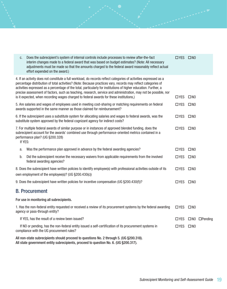| C.      | Does the subrecipient's system of internal controls include processes to review after-the-fact<br>interim changes made to a federal award that was based on budget estimates? (Note: All necessary<br>adjustments must be made so that the amounts charged to the federal award reasonably reflect actual<br>effort expended on the award.)                                                                                                                                                                                                                          | □YES □NO   |              |                          |
|---------|----------------------------------------------------------------------------------------------------------------------------------------------------------------------------------------------------------------------------------------------------------------------------------------------------------------------------------------------------------------------------------------------------------------------------------------------------------------------------------------------------------------------------------------------------------------------|------------|--------------|--------------------------|
|         | 4. If an activity does not constitute a full workload, do records reflect categories of activities expressed as a<br>percentage distribution of total activities? (Note: Because practices vary, records may reflect categories of<br>activities expressed as a percentage of the total, particularly for institutions of higher education. Further, a<br>precise assessment of factors, such as teaching, research, service and administration, may not be possible, nor<br>is it expected, when recording wages charged to federal awards for these institutions,) | $\Box$ YES | $\square$ NO |                          |
|         | 5. Are salaries and wages of employees used in meeting cost-sharing or matching requirements on federal<br>awards supported in the same manner as those claimed for reimbursement?                                                                                                                                                                                                                                                                                                                                                                                   | $\Box$ YES | $\square$ NO |                          |
|         | 6. If the subrecipient uses a substitute system for allocating salaries and wages to federal awards, was the<br>substitute system approved by the federal cognizant agency for indirect costs?                                                                                                                                                                                                                                                                                                                                                                       | □YES □NO   |              |                          |
| If YES: | 7. For multiple federal awards of similar purpose or in instances of approved blended funding, does the<br>subrecipient account for the awards' combined use through performance-oriented metrics contained in a<br>performance plan? (UG §200.328)                                                                                                                                                                                                                                                                                                                  | $\Box$ YES | $\square$ NO |                          |
| a.      | Was the performance plan approved in advance by the federal awarding agencies?                                                                                                                                                                                                                                                                                                                                                                                                                                                                                       | $\Box$ YES | $\square$ NO |                          |
| b.      | Did the subrecipient receive the necessary waivers from applicable requirements from the involved<br>federal awarding agencies?                                                                                                                                                                                                                                                                                                                                                                                                                                      | □YES □NO   |              |                          |
|         | 8. Does the subrecipient have written policies to identify employee(s) with professional activities outside of its<br>own employment of the employee(s)? (UG §200.430(c))                                                                                                                                                                                                                                                                                                                                                                                            | $\Box$ YES | $\square$ NO |                          |
|         | 9. Does the subrecipient have written policies for incentive compensation (UG §200.430(f))?                                                                                                                                                                                                                                                                                                                                                                                                                                                                          | $\Box$ YES | $\square$ NO |                          |
|         | <b>B. Procurement</b>                                                                                                                                                                                                                                                                                                                                                                                                                                                                                                                                                |            |              |                          |
|         | For use in monitoring all subrecipients.                                                                                                                                                                                                                                                                                                                                                                                                                                                                                                                             |            |              |                          |
|         | 1. Has the non-federal entity requested or received a review of its procurement systems by the federal awarding<br>agency or pass-through entity?                                                                                                                                                                                                                                                                                                                                                                                                                    | $\Box$ YES | $\square$ NO |                          |
|         | If YES, has the result of a review been issued?                                                                                                                                                                                                                                                                                                                                                                                                                                                                                                                      | $\Box$ YES |              | $\Box$ NO $\Box$ Pending |
|         | If NO or pending, has the non-federal entity issued a self-certification of its procurement systems in<br>compliance with the UG procurement rules?                                                                                                                                                                                                                                                                                                                                                                                                                  | $\Box$ YES | $\square$ NO |                          |
|         | All non-state subrecipients should proceed to questions No. 2 through 5. (UG §200.318).                                                                                                                                                                                                                                                                                                                                                                                                                                                                              |            |              |                          |

All state government entity subrecipients, proceed to question No. 6. (UG §200.317).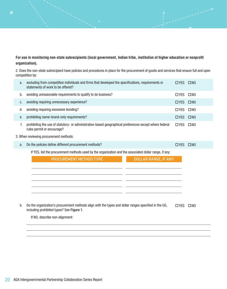#### **For use in monitoring non-state subrecipients (local government, Indian tribe, institution of higher education or nonprofit organization).**

2. Does the non-state subrecipient have policies and procedures in place for the procurement of goods and services that ensure full and open competition by:

| a. | excluding from competition individuals and firms that developed the specifications, requirements or<br>statements of work to be offered?           | $\Box$ YES $\Box$ NO |              |
|----|----------------------------------------------------------------------------------------------------------------------------------------------------|----------------------|--------------|
| b. | avoiding unreasonable requirements to qualify to do business?                                                                                      | $\Box$ YES           | $\square$ NO |
| c. | avoiding requiring unnecessary experience?                                                                                                         | $\Box$ YES           | $\square$ NO |
| d. | avoiding requiring excessive bonding?                                                                                                              | $\Box$ YES           | $\square$ NO |
| е. | prohibiting name-brand-only requirements?                                                                                                          | □YES □NO             |              |
| f. | prohibiting the use of statutory- or administrative-based geographical preferences except where federal<br>rules permit or encourage?              | $\Box$ YES           | $\square$ NO |
|    | 3. When reviewing procurement methods:                                                                                                             |                      |              |
| a. | Do the policies define different procurement methods?                                                                                              | $\Box$ YES           | $\square$ NO |
|    | If YES, list the procurement methods used by the organization and the associated dollar range, if any:                                             |                      |              |
|    | PROCUREMENT METHOD TYPE<br><b>DOLLAR RANGE, IF ANY</b>                                                                                             |                      |              |
|    |                                                                                                                                                    |                      |              |
|    |                                                                                                                                                    |                      |              |
|    |                                                                                                                                                    |                      |              |
|    |                                                                                                                                                    |                      |              |
|    |                                                                                                                                                    |                      |              |
| b. | Do the organization's procurement methods align with the types and dollar ranges specified in the UG,<br>including prohibited types? See Figure 1. | $\Box$ YES           | $\square$ NO |
|    | If NO, describe non-alignment:                                                                                                                     |                      |              |
|    |                                                                                                                                                    |                      |              |

 $\overline{a}$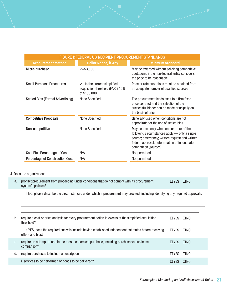| FIGURE 1: FEDERAL UG RECIPIENT PROCUREMENT STANDARDS |                                                                                             |                                                                                                                                                                                                                       |  |  |  |
|------------------------------------------------------|---------------------------------------------------------------------------------------------|-----------------------------------------------------------------------------------------------------------------------------------------------------------------------------------------------------------------------|--|--|--|
| <b>Procurement Method</b>                            | <b>Dollar Range, if Any</b>                                                                 | <b>Minmum Standard</b>                                                                                                                                                                                                |  |  |  |
| Micro-purchase                                       | $< +$ \$3.500                                                                               | May be awarded without soliciting competitive<br>quotations, if the non-federal entity considers<br>the price to be reasonable                                                                                        |  |  |  |
| <b>Small Purchase Procedures</b>                     | $\leftarrow$ to the current simplified<br>acquisition threshold (FAR 2.101)<br>of \$150,000 | Price or rate quotations must be obtained from<br>an adequate number of qualified sources                                                                                                                             |  |  |  |
| Sealed Bids (Formal Advertising)                     | None Specified                                                                              | The procurement lends itself to a firm fixed<br>price contract and the selection of the<br>successful bidder can be made principally on<br>the basis of price                                                         |  |  |  |
| <b>Competitive Proposals</b>                         | <b>None Specified</b>                                                                       | Generally used when conditions are not<br>appropirate for the use of sealed bids                                                                                                                                      |  |  |  |
| Non-competitive                                      | <b>None Specified</b>                                                                       | May be used only when one or more of the<br>following circumstances apply — only a single<br>source; emergency; written request and written<br>federal approval; determnation of inadequate<br>competition (sources). |  |  |  |
| <b>Cost Plus Percentage of Cost</b>                  | N/A                                                                                         | Not permitted                                                                                                                                                                                                         |  |  |  |
| <b>Percentage of Construction Cost</b>               | N/A                                                                                         | Not permitted                                                                                                                                                                                                         |  |  |  |

#### 4. Does the organization:

 $\overline{a}$ 

| a. prohibit procurement from proceeding under conditions that do not comply with its procurement | $\Box$ YES $\Box$ NO |  |
|--------------------------------------------------------------------------------------------------|----------------------|--|
| system's policies?                                                                               |                      |  |

If NO, please describe the circumstances under which a procurement may proceed, including identifying any required approvals.

| b. | require a cost or price analysis for every procurement action in excess of the simplified acquisition<br>threshold?      | □YES                 | $\Box$ NO |
|----|--------------------------------------------------------------------------------------------------------------------------|----------------------|-----------|
|    | If YES, does the required analysis include having established independent estimates before receiving<br>offers and bids? | $\Box$ YES $\Box$ NO |           |
| C. | require an attempt to obtain the most economical purchase, including purchase versus lease<br>comparison?                | $\Box$ YES $\Box$ NO |           |
| d. | require purchases to include a description of:                                                                           | $\Box$ YES $\Box$ NO |           |
|    | i. services to be performed or goods to be delivered?                                                                    | <b>TIYES</b>         | <b>NO</b> |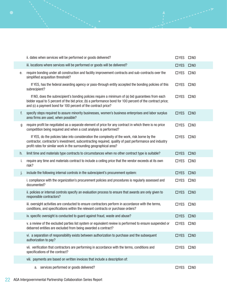|    | ii. dates when services will be performed or goods delivered?                                                                                                                                                                                                                   | $\Box$ YES           | $\square$ NO |
|----|---------------------------------------------------------------------------------------------------------------------------------------------------------------------------------------------------------------------------------------------------------------------------------|----------------------|--------------|
|    | iii. locations where services will be performed or goods will be delivered?                                                                                                                                                                                                     | $\Box$ YES           | $\square$ NO |
| е. | require bonding under all construction and facility improvement contracts and sub-contracts over the<br>simplified acquisition threshold?                                                                                                                                       | □YES □NO             |              |
|    | If YES, has the federal awarding agency or pass-through entity accepted the bonding policies of this<br>subrecipient?                                                                                                                                                           | $\Box$ YES           | $\square$ NO |
|    | If NO, does the subrecipient's bonding policies require a minimum of (a) bid guarantees from each<br>bidder equal to 5 percent of the bid price; (b) a performance bond for 100 percent of the contract price;<br>and (c) a payment bond for 100 percent of the contract price? | $\Box$ YES           | $\square$ NO |
| f. | specify steps required to assure minority businesses, women's business enterprises and labor surplus<br>area firms are used, when possible?                                                                                                                                     | $\Box$ YES           | $\square$ NO |
| g  | require profit be negotiated as a separate element of price for any contract in which there is no price<br>competition being required and when a cost analysis is performed?                                                                                                    | $\Box$ YES           | $\square$ NO |
|    | If YES, do the policies take into consideration the complexity of the work, risk borne by the<br>contractor, contractor's investment, subcontracting required, quality of past performance and industry<br>profit rates for similar work in the surrounding geographical area?  | □YES □NO             |              |
| h. | limit time and materials type contracts to circumstances when no other contract type is suitable?                                                                                                                                                                               | $\Box$ YES           | $\square$ NO |
| i. | require any time and materials contract to include a ceiling price that the vendor exceeds at its own<br>risk?                                                                                                                                                                  | $\Box$ YES           | $\square$ NO |
| J. | include the following internal controls in the subrecipient's procurement system:                                                                                                                                                                                               | $\Box$ YES           | $\square$ NO |
|    | i. compliance with the organization's procurement policies and procedures is regularly assessed and<br>documented?                                                                                                                                                              | $\Box$ YES           | $\square$ NO |
|    | ii. policies or internal controls specify an evaluation process to ensure that awards are only given to<br>responsible contractors?                                                                                                                                             | $\Box$ YES           | $\square$ NO |
|    | iii. oversight activities are conducted to ensure contractors perform in accordance with the terms,<br>conditions, and specifications within the relevant contracts or purchase orders?                                                                                         | $\Box$ YES           | $\square$ NO |
|    | iv. specific oversight is conducted to guard against fraud, waste and abuse?                                                                                                                                                                                                    | $\Box$ YES           | $\square$ NO |
|    | v. a review of the excluded parties list system or equivalent review is performed to ensure suspended or<br>debarred entities are excluded from being awarded a contract?                                                                                                       | $\Box$ YES           | $\square$ NO |
|    | vi. a separation of responsibility exists between authorization to purchase and the subsequent<br>authorization to pay?                                                                                                                                                         | $\Box$ YES $\Box$ NO |              |
|    | vii. verification that contractors are performing in accordance with the terms, conditions and<br>specifications of the contract?                                                                                                                                               | $\Box$ YES           | $\square$ NO |
|    | viii. payments are based on written invoices that include a description of:                                                                                                                                                                                                     |                      |              |
|    | a. services performed or goods delivered?                                                                                                                                                                                                                                       | $\Box$ YES           | $\square$ NO |

### 22 AGA Intergovernmental Partnership Collaboration Series Report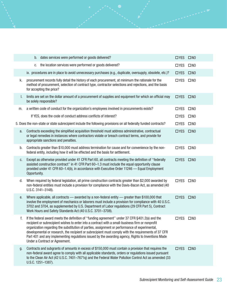|    | b. dates services were performed or goods delivered?                                                                                                                                                                                                                                                                                                                                                                                                                                                                                                   | $\Box$ YES           | $\square$ NO |
|----|--------------------------------------------------------------------------------------------------------------------------------------------------------------------------------------------------------------------------------------------------------------------------------------------------------------------------------------------------------------------------------------------------------------------------------------------------------------------------------------------------------------------------------------------------------|----------------------|--------------|
|    | c. the location services were performed or goods delivered?                                                                                                                                                                                                                                                                                                                                                                                                                                                                                            | $\Box$ YES           | $\square$ NO |
|    | ix. procedures are in place to avoid unnecessary purchases (e.g., duplicate, oversupply, obsolete, etc.)?                                                                                                                                                                                                                                                                                                                                                                                                                                              | $\Box$ YES           | $\square$ NO |
| k. | procurement records fully detail the history of each procurement, at minimum the rationale for the<br>method of procurement, selection of contract type, contractor selections and rejections, and the basis<br>for accepting the price?                                                                                                                                                                                                                                                                                                               | $\Box$ YES           | $\square$ NO |
| I. | limits are set on the dollar amount of a procurement of supplies and equipment for which an official may<br>be solely responsible?                                                                                                                                                                                                                                                                                                                                                                                                                     | $\Box$ YES           | $\square$ NO |
| m. | a written code of conduct for the organization's employees involved in procurements exists?                                                                                                                                                                                                                                                                                                                                                                                                                                                            | $\Box$ YES           | $\square$ NO |
|    | If YES, does the code of conduct address conflicts of interest?                                                                                                                                                                                                                                                                                                                                                                                                                                                                                        | $\Box$ YES           | $\square$ NO |
|    | 5. Does the non-state or state subrecipient include the following provisions on all federally funded contracts?                                                                                                                                                                                                                                                                                                                                                                                                                                        | $\Box$ YES           | $\square$ NO |
| a. | Contracts exceeding the simplified acquisition threshold must address administrative, contractual<br>or legal remedies in instances where contractors violate or breach contract terms, and provide for<br>appropriate sanctions and penalties.                                                                                                                                                                                                                                                                                                        | $\Box$ YES           | $\square$ NO |
| b. | Contracts greater than \$10,000 must address termination for cause and for convenience by the non-<br>federal entity, including how it will be effected and the basis for settlement.                                                                                                                                                                                                                                                                                                                                                                  | $\Box$ YES           | $\square$ NO |
| C. | Except as otherwise provided under 41 CFR Part 60, all contracts meeting the definition of "federally<br>assisted construction contract" in 41 CFR Part 60-1.3 must include the equal opportunity clause<br>provided under 41 CFR 60-1.4(b), in accordance with Executive Order 11246 - Equal Employment<br>Opportunity.                                                                                                                                                                                                                               | $\Box$ YES           | $\square$ NO |
| d. | When required by federal legislation, all prime construction contracts greater than \$2,000 awarded by<br>non-federal entities must include a provision for compliance with the Davis-Bacon Act, as amended (40<br>U.S.C. 3141-3148).                                                                                                                                                                                                                                                                                                                  | $\Box$ YES           | $\square$ NO |
| е. | Where applicable, all contracts - awarded by a non-federal entity - greater than \$100,000 that<br>involve the employment of mechanics or laborers must include a provision for compliance with 40 U.S.C.<br>3702 and 3704, as supplemented by U.S. Department of Labor regulations (29 CFR Part 5), Contract<br>Work Hours and Safety Standards Act (40 U.S.C. 3701-3708).                                                                                                                                                                            | $\Box$ YES           | $\square$ NO |
| f. | If the federal award meets the definition of "funding agreement" under 37 CFR §401.2(a) and the<br>recipient or subrecipient wishes to enter into a contract with a small-business firm or nonprofit<br>organization regarding the substitution of parties, assignment or performance of experimental,<br>developmental or research, the recipient or subrecipient must comply with the requirements of 37 CFR<br>Part 401 and any implementing regulations issued by the awarding agency, Rights to Inventions Made<br>Under a Contract or Agreement. | $\Box$ YES           | $\square$ NO |
| g. | Contracts and subgrants of amounts in excess of \$150,000 must contain a provision that requires the<br>non-federal award agree to comply with all applicable standards, orders or regulations issued pursuant<br>to the Clean Air Act (42 U.S.C. 7401-7671q) and the Federal Water Pollution Control Act as amended (33<br>U.S.C. 1251-1387).                                                                                                                                                                                                         | $\Box$ YES $\Box$ NO |              |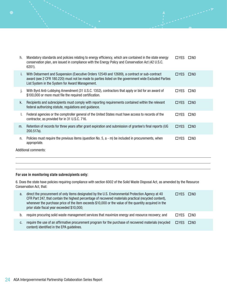| h. | Mandatory standards and policies relating to energy efficiency, which are contained in the state energy<br>conservation plan, are issued in compliance with the Energy Policy and Conservation Act (42 U.S.C.<br>$6201$ ).                              | $\Box$ YES | $\square$ NO |
|----|---------------------------------------------------------------------------------------------------------------------------------------------------------------------------------------------------------------------------------------------------------|------------|--------------|
| ı. | With Debarment and Suspension (Executive Orders 12549 and 12689), a contract or sub-contract<br>award (see 2 CFR 180.220) must not be made to parties listed on the government wide Excluded Parties<br>List System in the System for Award Management. | $\Box$ YES | $\square$ NO |
| Ι. | With Byrd Anti-Lobbying Amendment (31 U.S.C. 1352), contractors that apply or bid for an award of<br>\$100,000 or more must file the required certification.                                                                                            | □YES       | $\square$ NO |
| k. | Recipients and subrecipients must comply with reporting requirements contained within the relevant<br>federal authorizing statute, regulations and guidance.                                                                                            | $\Box$ YES | $\square$ NO |
|    | Federal agencies or the comptroller general of the United States must have access to records of the<br>contractor, as provided for in 31 U.S.C. 716.                                                                                                    | □YES       | $\square$ NO |
| m. | Retention of records for three years after grant expiration and submission of grantee's final reports (UG<br>200.517a).                                                                                                                                 | $\Box$ YES | $\square$ NO |
| n. | Policies must require the previous items (question No. 5, $a - m$ ) be included in procurements, when<br>appropriate.                                                                                                                                   | □ YFS      | $\square$ NO |

Additional comments:

 $\overline{a}$  $\overline{a}$  $\overline{a}$ 

 $\bullet$ 

#### **For use in monitoring state subrecipients only:**

6. Does the state have policies requiring compliance with section 6002 of the Solid Waste Disposal Act, as amended by the Resource Conservation Act, that:

| a. | direct the procurement of only items designated by the U.S. Environmental Protection Agency at 40<br>CFR Part 247, that contain the highest percentage of recovered materials practical (recycled content),<br>whenever the purchase price of the item exceeds \$10,000 or the value of the quantity acquired in the<br>prior state fiscal year exceeded \$10,000; | <b>TIYES</b> | $\square$ NO |
|----|--------------------------------------------------------------------------------------------------------------------------------------------------------------------------------------------------------------------------------------------------------------------------------------------------------------------------------------------------------------------|--------------|--------------|
| b. | require procuring solid waste management services that maximize energy and resource recovery; and                                                                                                                                                                                                                                                                  | $\Box$ YES   | $\square$ NO |
| c. | require the use of an affirmative procurement program for the purchase of recovered materials (recycled<br>content) identified in the EPA guidelines.                                                                                                                                                                                                              | <b>TIYES</b> | $\square$ NO |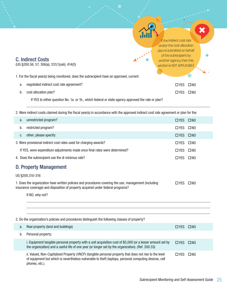| <b>C. Indirect Costs</b> |  |
|--------------------------|--|
|                          |  |

 $\overline{a}$ 

(UG §200.56; 57; 306(a); 331(1)(xiii); 414(f))

1. For the fiscal year(s) being monitored, does the subrecipient have an approved, current:

| а. | negotiated indirect cost rate agreement?                                                           | $\Box$ YES $\Box$ NO |  |
|----|----------------------------------------------------------------------------------------------------|----------------------|--|
| b. | cost allocation plan?                                                                              | $\Box$ YES $\Box$ NO |  |
|    | If YES to either question No. 1a. or 1b., which federal or state agency approved the rate or plan? |                      |  |

2. Were indirect costs claimed during the fiscal year(s) in accordance with the approved indirect cost rate agreement or plan for the:

| a.                                                                                                                                                                                                      | unrestricted program?                                                                                                                                                                                            | $\Box$ YES $\Box$ NO |              |
|---------------------------------------------------------------------------------------------------------------------------------------------------------------------------------------------------------|------------------------------------------------------------------------------------------------------------------------------------------------------------------------------------------------------------------|----------------------|--------------|
| b.                                                                                                                                                                                                      | restricted program?                                                                                                                                                                                              | $\Box$ YES           | $\square$ NO |
| C.                                                                                                                                                                                                      | other; please specify:                                                                                                                                                                                           | $\Box$ YES           | $\square$ NO |
|                                                                                                                                                                                                         | 3. Were provisional indirect cost rates used for charging awards?                                                                                                                                                | $\Box$ YES           | $\square$ NO |
|                                                                                                                                                                                                         | If YES, were expenditure adjustments made once final rates were determined?                                                                                                                                      | $\Box$ YES           | $\square$ NO |
|                                                                                                                                                                                                         | 4. Does the subrecipient use the di minimus rate?                                                                                                                                                                | $\Box$ YES           | $\square$ NO |
|                                                                                                                                                                                                         | <b>D. Property Management</b>                                                                                                                                                                                    |                      |              |
|                                                                                                                                                                                                         | UG §200.310-316                                                                                                                                                                                                  |                      |              |
| 1. Does the organization have written policies and procedures covering the use, management (including<br>$\Box$ YES<br>insurance coverage) and disposition of property acquired under federal programs? |                                                                                                                                                                                                                  | $\square$ NO         |              |
|                                                                                                                                                                                                         | If NO, why not?                                                                                                                                                                                                  |                      |              |
|                                                                                                                                                                                                         |                                                                                                                                                                                                                  |                      |              |
|                                                                                                                                                                                                         |                                                                                                                                                                                                                  |                      |              |
|                                                                                                                                                                                                         | 2. Do the organization's policies and procedures distinguish the following classes of property?                                                                                                                  |                      |              |
| a.                                                                                                                                                                                                      |                                                                                                                                                                                                                  |                      |              |
|                                                                                                                                                                                                         | Real property (land and buildings)                                                                                                                                                                               | $\Box$ YES           | $\square$ NO |
| b.                                                                                                                                                                                                      | Personal property:                                                                                                                                                                                               |                      |              |
|                                                                                                                                                                                                         | i. Equipment tangible personal property with a unit acquisition cost of \$5,000 (or a lesser amount set by<br>the organization) and a useful life of one year (or longer set by the organization). (Ref. 200.33) | $\Box$ YES           | $\square$ NO |

of equipment but which is nevertheless vulnerable to theft (laptops, personal computing devices, cell phones, etc.).

If the indirect cost rate and/or the cost allocation plan is submitted on behalf of the subrecipient by another agency, then this section is NOT APPLICABLE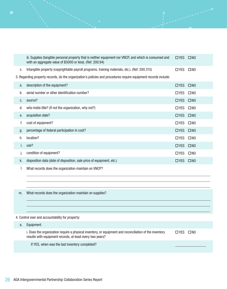|    | iii. Supplies (tangible personal property that is neither equipment nor VNCP, and which is consumed and<br>with an aggregate value of \$5000 or less). (Ref. 200.94) | $\Box$ YES $\Box$ NO |              |
|----|----------------------------------------------------------------------------------------------------------------------------------------------------------------------|----------------------|--------------|
| C. | Intangible property (copyrightable payroll programs, training materials, etc.). (Ref. 200.315)                                                                       | □YES □NO             |              |
|    | 3. Regarding property records, do the organization's policies and procedures require equipment records include:                                                      |                      |              |
| a. | description of the equipment?                                                                                                                                        | $\Box$ YES           | $\square$ NO |
| b. | serial number or other identification number?                                                                                                                        | $\Box$ YES           | $\square$ NO |
| C. | source?                                                                                                                                                              | $\Box$ YES           | $\square$ NO |
| d. | who holds title? (If not the organization, why not?)                                                                                                                 | $\square$ YES        | $\square$ NO |
| е. | acquisition date?                                                                                                                                                    | $\Box$ YES $\Box$ NO |              |
| f. | cost of equipment?                                                                                                                                                   | $\Box$ YES           | $\square$ NO |
| g. | percentage of federal participation in cost?                                                                                                                         | $\Box$ YES           | $\square$ NO |
| h. | location?                                                                                                                                                            | $\Box$ YES           | $\square$ NO |
| İ. | use?                                                                                                                                                                 | $\Box$ YES           | $\square$ NO |
| J. | condition of equipment?                                                                                                                                              | $\Box$ YES           | $\square$ NO |
| k. | disposition data (date of disposition, sale price of equipment, etc.)                                                                                                | $\Box$ YES           | $\square$ NO |
| ı. | What records does the organization maintain on VNCP?                                                                                                                 |                      |              |
|    |                                                                                                                                                                      |                      |              |
|    |                                                                                                                                                                      |                      |              |
| m. | What records does the organization maintain on supplies?                                                                                                             |                      |              |
|    |                                                                                                                                                                      |                      |              |

4. Control over and accountability for property:

 $\bullet$ 

a. Equipment i. Does the organization require a physical inventory, or equipment and reconciliation of the inventory results with equipment records, at least every two years? **OYES ONO** If YES, when was the last inventory completed?

 $\overline{a}$  $\overline{a}$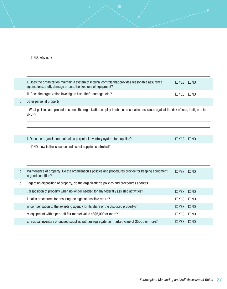If NO, why not?

|    | ii. Does the organization maintain a system of internal controls that provides reasonable assurance<br>against loss, theft, damage or unauthorized use of equipment? | $\Box$ YES $\Box$ NO |              |
|----|----------------------------------------------------------------------------------------------------------------------------------------------------------------------|----------------------|--------------|
|    | iii. Does the organization investigate loss, theft, damage, etc.?                                                                                                    | $\Box$ YES $\Box$ NO |              |
| b. | Other personal property                                                                                                                                              |                      |              |
|    | i. What policies and procedures does the organization employ to obtain reasonable assurance against the risk of loss, theft, etc. to<br>VNCP?                        |                      |              |
|    |                                                                                                                                                                      |                      |              |
|    | ii. Does the organziation maintain a perpetual inventory system for supplies?                                                                                        | $\Box$ YES $\Box$ NO |              |
|    | If NO, how is the issuance and use of supplies controlled?                                                                                                           |                      |              |
|    |                                                                                                                                                                      |                      |              |
|    |                                                                                                                                                                      |                      |              |
| C. | Maintenance of property: Do the organization's policies and procedures provide for keeping equipment<br>in good condition?                                           | $\Box$ YES           | $\square$ NO |
| d. | Regarding disposition of property, do the organization's policies and procedures address:                                                                            |                      |              |
|    | i. disposition of property when no longer needed for any federally assisted activities?                                                                              | $\Box$ YES           | $\square$ NO |
|    | ii. sales procedures for ensuring the highest possible return?                                                                                                       | $\Box$ YES           | $\square$ NO |
|    | iii. compensation to the awarding agency for its share of the disposed property?                                                                                     | $\Box$ YES           | $\square$ NO |
|    | iv. equipment with a per-unit fair market value of \$5,000 or more?                                                                                                  | $\Box$ YES           | $\square$ NO |
|    | v. residual inventory of unused supplies with an aggregate fair market value of \$5000 or more?                                                                      | $\Box$ YES           | $\square$ NO |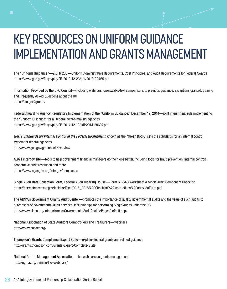# KEY RESOURCES ON UNIFORM GUIDANCE IMPLEMENTATION AND GRANTS MANAGEMENT

The "Uniform Guidance"—2 CFR 200—Uniform Administrative Requirements, Cost Principles, and Audit Requirements for Federal Awards https://www.gpo.gov/fdsys/pkg/FR-2013-12-26/pdf/2013-30465.pdf

Information Provided by the CFO Council—including webinars, crosswalks/text comparisons to previous guidance, exceptions granted, training and Frequently Asked Questions about the UG https://cfo.gov//grants/

Federal Awarding Agency Regulatory Implementation of the "Uniform Guidance," December 19, 2014—joint interim final rule implementing the "Uniform Guidance" for all federal award-making agencies https://www.gpo.gov/fdsys/pkg/FR-2014-12-19/pdf/2014-28697.pdf

GAO's Standards for Internal Control in the Federal Government, known as the "Green Book," sets the standards for an internal control system for federal agencies http://www.gao.gov/greenbook/overview

AGA's intergov site—Tools to help government financial managers do their jobs better. including tools for fraud prevention, internal controls, cooperative audit resolution and more https://www.agacgfm.org/intergov/home.aspx

Single Audit Data Collection Form, Federal Audit Clearing House—Form SF-SAC Worksheet & Single Audit Component Checklist https://harvester.census.gov/facides/Files/2015\_2018%20Checklist%20Instructions%20and%20Form.pdf

The AICPA's Government Quality Audit Center—promotes the importance of quality governmental audits and the value of such audits to purchasers of governmental audit services, including tips for performing Single Audits under the UG http://www.aicpa.org/InterestAreas/GovernmentalAuditQuality/Pages/default.aspx

National Association of State Auditors Comptrollers and Treasurers—webinars http://www.nasact.org/

Thompson's Grants Compliance Expert Suite—explains federal grants and related guidance http://grants.thompson.com/Grants-Expert-Complete-Suite

National Grants Management Association—live webinars on grants management http://ngma.org/training/live-webinars/